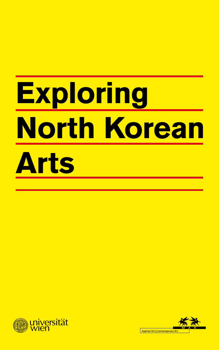# **Exploring North Korean Arts**  Rüdiger Frank (Ed.) **Exploring North Korean Arts**



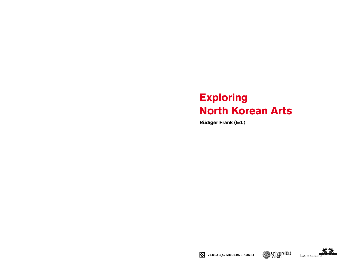## **Exploring North Korean Arts**

**Rüdiger Frank (Ed.)**



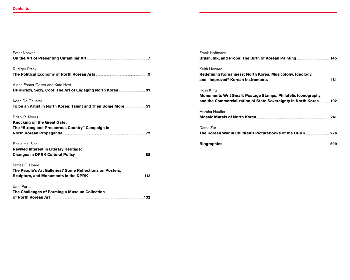| Peter Noever<br>On the Art of Presenting Unfamiliar Art <b>Construction Contract Construction</b> of the Art of Presenting Unfamiliar Art    |  |
|----------------------------------------------------------------------------------------------------------------------------------------------|--|
| Rüdiger Frank<br>The Political Economy of North Korean Arts <b>Manual And Access 2</b> 9                                                     |  |
| Aidan Foster-Carter and Kate Hext                                                                                                            |  |
| Koen De Ceuster<br>To be an Artist in North Korea: Talent and Then Some More <b>Mater Article 151</b>                                        |  |
| Brian R. Myers<br><b>Knocking on the Great Gate:</b><br>The "Strong and Prosperous Country" Campaign in                                      |  |
| Sonja Häußler<br><b>Revived Interest in Literary Heritage:</b><br>Changes in DPRK Cultural Policy <b>Manual Strategier 2018</b> 88           |  |
| James E. Hoare<br>The People's Art Galleries? Some Reflections on Posters,<br>Sculpture, and Monuments in the DPRK <b>CONSTRESS 2018</b> 113 |  |
| Jane Portal<br>The Challenges of Forming a Museum Collection<br>of North Korean Art 132                                                      |  |

| Frank Hoffmann                                                                                                                                                                                                                       |     |
|--------------------------------------------------------------------------------------------------------------------------------------------------------------------------------------------------------------------------------------|-----|
|                                                                                                                                                                                                                                      |     |
| Keith Howard                                                                                                                                                                                                                         |     |
| Redefining Koreanness: North Korea, Musicology, Ideology,                                                                                                                                                                            |     |
|                                                                                                                                                                                                                                      |     |
| Ross King                                                                                                                                                                                                                            |     |
| Monuments Writ Small: Postage Stamps, Philatelic Iconography,                                                                                                                                                                        |     |
| and the Commercialization of State Sovereignty in North Korea 192                                                                                                                                                                    |     |
| Marsha Haufler                                                                                                                                                                                                                       |     |
|                                                                                                                                                                                                                                      |     |
| Dafna Zur                                                                                                                                                                                                                            |     |
|                                                                                                                                                                                                                                      |     |
| Biographies <b>Executive Strategie and Tennish Contract Contract Contract Contract Contract Contract Contract Contract Contract Contract Contract Contract Contract Contract Contract Contract Contract Contract Contract Contra</b> | 299 |
|                                                                                                                                                                                                                                      |     |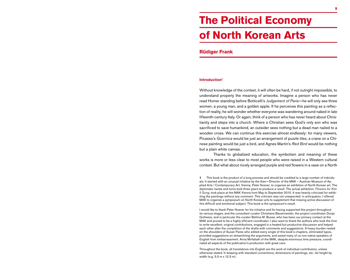## **The Political Economy of North Korean Arts**

### **Rüdiger Frank**

#### **Introduction1**

Without knowledge of the context, it will often be hard, if not outright impossible, to understand properly the meaning of artworks. Imagine a person who has never read Homer standing before Botticelli's *Judgement of Paris*––he will only see three women, a young man, and a golden apple. If he perceives this painting as a reflection of reality, he will wonder whether everyone was wandering around naked in late fifteenth-century Italy. Or again, think of a person who has never heard about Christianity and steps into a church. Where a Christian sees God's only son who was sacrificed to save humankind, an outsider sees nothing but a dead man nailed to a wooden cross. We can continue this exercise almost endlessly: for many viewers, Picasso's *Guernica* would be just an arrangement of puzzle tiles, a crane on a Chinese painting would be just a bird, and Agnes Martin's *Red bird* would be nothing but a plain white canvas.

Thanks to globalized education, the symbolism and meaning of these works is more or less clear to most people who were raised in a Western cultural context. But what about nicely arranged purple and red flowers in a vase on a North

I would like to thank Peter Noever for his initiative and for having supported this project throughout its various stages, and the consultant curator Christiane Bauermeister, the project coordinator Dunja Gottweis, and in particular the curator Bettina M. Busse, who has been our primary contact at the MAK and proved to be a highly efficient coordinator. I also want to thank the authors who took the time to write excellent, original contributions, engaged in a heated but productive discussion and helped each other after the completion of the drafts with comments and suggestions. A heavy burden rested on the shoulders of Susan Pares who edited every single of this book's chapters, eliminated typos, provided suggestions on streamlining the arguments, and saved many of us non-native speakers of English from embarrassment. Anna Mirfattahi of the MAK, despite enormous time pressure, coordinated all aspects of the publication's production with great care.

Throughout the book, all translations into English are the work of individual contributors, unless otherwise stated. In keeping with standard conventions, dimensions of paintings, etc. list height by width (e.g. 5.5 m x 12.3 m).

**<sup>1</sup>** This book is the product of a long process and should be credited to a large number of individuals. It started with an unusual initiative by the then––Director of the MAK – Austrian Museum of Applied Arts / Contemporary Art, Vienna, Peter Noever, to organize an exhibition of North Korean art. The diplomatic twists and turns took three years to produce a result. The actual exhibition, *Flowers for Kim Il Sung,* took place at the MAK Vienna from May to September 2010. It was heavily criticized for exhibiting the paintings without any comment. This criticism was not unexpected; in anticipation, I offered MAK to organize a symposium on North Korean arts to supplement that missing active discussion of this difficult and emotional subject. This book is the symposium's result.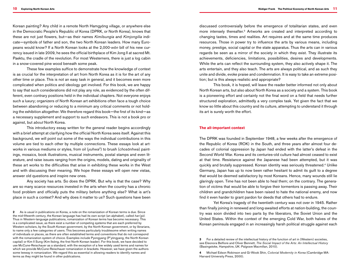Korean painting? Any child in a remote North Hamgyŏng village, or anywhere else in the Democratic People's Republic of Korea (DPRK, or North Korea), knows that these are not just flowers, but––as their names *Kimilsungia* and *Kimjongilia* indicate––symbols of father and son, the two North Korean leaders. How many Europeans would know? If a North Korean looks at the 2,000-*wŏn* bill of his new currency issued in late 2009, he sees the official birthplace of Kim Jong Il at sacred Mt. Paektu, the cradle of the revolution. For most Westerners, there is just a log cabin in a snow-covered pine wood beneath some peak.

These few examples suffice to demonstrate how the knowledge of context is as crucial for the interpretation of art from North Korea as it is for the art of any other time or place. This is not an easy task in general, and it becomes even more complicated when politics and ideology get involved. For this book, we are happy to say that such considerations did not play any role, as evidenced by the often different, even contrary positions held in the individual chapters. Not everyone enjoys such a luxury; organizers of North Korean art exhibitions often face a tough choice between abandoning or reducing to a minimum any critical comments or not holding the exhibition altogether. We therefore regard this book––the first of its kind––as a necessary supplement and support to such endeavors. This is not a book pro or against, but *about* North Korea.

This introductory essay written for the general reader begins accordingly with a brief attempt at clarifying how the official North Korea sees itself. Against this background, we will point out some of the ways the individual contributions in this volume are tied to each other by multiple connections. These essays look at artworks in various mediums or styles, from oil (*yuhwa*2) to brush (*chosŏnhwa*) paintings, mosaics, book illustrations, musical instruments, postal stamps and even literature, and raise issues ranging from the origins, models, dating and originality of these art works to the difficulties that arise in exhibiting these works in the West and with discussing their meaning. We hope these essays will open new vistas, answer old questions and inspire new ones.

Any society has arts. So does the DPRK. But why is that the case? Why are so many scarce resources invested in the arts when the country has a chronic food problem and officially puts the military before anything else? What is art's place in such a context? And why does it matter to us? Such questions have been

**2** As is usual in publications on Korea, a note on the romanization of Korean terms is due. Since the mid-fifteenth century, the Korean language has had its own script (an alphabet), called *han'gŭl*. Thus in Western-language publications, romanization of Korean terms has become necessary. This is a complicated issue, as there exist a number of competing systems that are each preferred by Western scholars, by the South Korean government, by the North Korean government, or by librarians, to name only a few categories of users. This becomes particularly troublesome when writing names of individuals or places, as there are often established terms and conventions that do not correspond with the romanization system of choice. Examples include Pyongyang (P'yŏngyang, the North Korean capital) or Kim Il Sung (Kim Ilsŏng, the first North Korean leader). For this book, we have decided to use McCune-Reischauer as a standard, with the exception of a few widely used terms and names for which we provide McCune-Reischauer romanization in brackets. However, we have given the authors some leeway in romanization. We regard this as essential in allowing readers to identify names and terms as they might be found in other publications.

discussed controversially before the emergence of totalitarian states, and even more intensely thereafter.3 Artworks are created and interpreted according to changing tastes, times and realities. Art requires and at the same time produces resources. Those in power try to influence the arts by various means, including money, prestige, social capital or the state apparatus. Thus the arts can in various regards be seen as a mirror of the society in which they exist. They illustrate its achievements, deficiencies, limitations, possibilities, desires and developments. While the arts can reflect the surrounding system, they also actively shape it. The arts entertain, and they also teach. The arts are always political, and as such they unite and divide, evoke praise and condemnation. It is easy to take an extreme position; but is this always realistic and appropriate?

This book, it is hoped, will leave the reader better informed not only about North Korean arts, but also about North Korea as a society and a system. This book is a pioneering effort and certainly not the final word on a field that needs further structured exploration, admittedly a very complex task. Yet given the fact that we know so little about this country and its culture, attempting to understand it through its art is surely worth the effort.

#### **The all-important context**

The DPRK was founded in September 1948, a few weeks after the emergence of the Republic of Korea (ROK) in the South, and three years after almost four decades of colonial oppression by Japan had ended with the latter's defeat in the Second World War. Korea and its centuries-old culture had almost ceased to exist at that time. Resistance against the Japanese had been attempted, but it was quickly and brutally suppressed. Korean identity was seriously threatened.4 Unlike Germany, Japan has up to now been rather hesitant to admit its guilt to a degree that would be deemed satisfactory by most Koreans. Hence, many wounds still lie glaringly open. Time has not been able to heal them; on the contrary. The generation of victims that would be able to forgive their tormentors is passing away. Their children and grandchildren have been raised to hate the national enemy, and now find it even harder to grant pardon for deeds that others had to endure.

Yet Korea's tragedy of the twentieth century was not over in 1945. Rather than finally joining in renewed and long-awaited efforts at nation-building, the country was soon divided into two parts by the liberators, the Soviet Union and the United States. Within the context of the emerging Cold War, both halves of the Korean peninsula engaged in an increasingly harsh political struggle against each

**<sup>3</sup>** For a detailed review of the intellectual history of the function of art in (Western) societies, see Eleonora Belfiore and Oliver Bennett, *The Social Impact of the Arts: An Intellectual History* (Basingstoke, Hampshire, UK: Palgrave Macmillan, 2010).

**<sup>4</sup>** Michael Edson Robinson and Gi-Wook Shin, *Colonial Modernity in Korea* (Cambridge MA: Harvard University Press, 2000).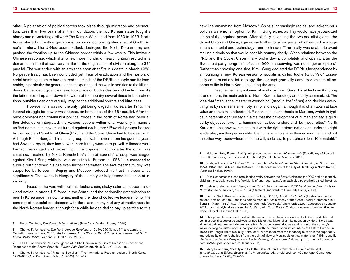other. A polarization of political forces took place through migration and persecution. Less than two years after their foundation, the two Korean states fought a bloody and devastating civil war.5 The Korean War lasted from 1950 to 1953. North Korea started out with a quick initial success, occupying almost all of South Korea's territory. The US-led counter-attack destroyed the North Korean army and pushed the frontline up to the Chinese border within a few weeks. This invited a Chinese response, which after a few more months of heavy fighting resulted in a demarcation line that was very similar to the original line of division along the  $38<sup>th</sup>$ parallel. The war ended with an armistice soon after Stalin's death in March 1953. No peace treaty has been concluded yet. Fear of eradication and the horrors of aerial bombing seem to have shaped the minds of the DPRK's people and its leadership, in particular the generation that experienced the war. In addition to the killings during battle, ideological cleansing took place on both sides behind the frontline. As the latter moved up and down the width of the country several times in both directions, outsiders can only vaguely imagine the additional horrors and bitterness.

However, this was not the only fight being waged in Korea after 1945. The internal struggle for power was intense, on both sides of the  $38<sup>th</sup>$  parallel. After the once-dominant non-communist political forces in the north of Korea had been either defeated or integrated, the various factions within what was only in name a unified communist movement turned against each other.6 Powerful groups backed by the People's Republic of China (PRC) and the Soviet Union had to be dealt with. Although Kim Il Sung and his small group of loyal followers from his guerrilla years had Soviet support, they had to work hard if they wanted to prevail. Alliances were formed, rearranged and broken up. One opponent faction after the other was smashed. Inspired by Nikita Khrushchev's secret speech,7 a coup was staged against Kim Il Sung while he was on a trip to Europe in 1956.<sup>8</sup> He managed to survive but tightened his rule even further thereafter. The fact that the mutiny was supported by forces in Beijing and Moscow reduced his trust in these allies significantly. The events in Hungary of the same year heightened his sense of insecurity.

Faced as he was with political factionalism, shaky external support, a divided nation, a strong US force in the South, and the nationalist determination to reunify Korea under his own terms, neither the idea of collective leadership nor the concept of peaceful coexistence with the class enemy had any attractiveness for the North Korean leader, although for a while he decided to pay lip service to this

**5** Bruce Cumings, *The Korean War: A history* (New York: Modern Library, 2010).

**6** Charles K. Armstrong, *The North Korean Revolution, 1945–1950* (Ithaca NY and London: Cornell University Press, 2003); Andrei Lankov, *From Stalin to Kim Il Song: The Formation of North Korea, 1945–1960* (London: C. Hurst & Co., 2002).

**7** Karl E. Loewenstein, "Re-emergence of Public Opinion in the Soviet Union: Khrushchev and Responses to the Secret Speech," *Europe-Asia Studies* 58, No. 8 (2006): 1329–45.

**8** Charles K. Armstrong, "'Fraternal Socialism': The International Reconstruction of North Korea, 1953–62," *Cold War History* 5, No. 2 (2005): 161–87.

new line emanating from Moscow.9 China's increasingly radical and adventurous policies were not an option for Kim Il Sung either, as they would have jeopardized his painfully acquired power. After skilfully balancing the two socialist giants, the Soviet Union and China, against each other for a few years, which earned him huge inputs of capital and technology from both sides,<sup>10</sup> he finally was unable to avoid making a decision that would cost his country dearly. When relations between the PRC and the Soviet Union finally broke down, completely and openly, after the Bucharest party congress<sup>11</sup> of June 1960, manoeuvring was no longer an option.<sup>12</sup> Rather than choosing one side, Kim Il Sung declared the DPRK's independence by announcing a new, Korean version of socialism, called Juche (*chuch'e*).13 Essentially an ultra-nationalist ideology, the concept gradually came to dominate all aspects of life in North Korea including the arts.

Despite the many volumes of works by Kim Il Sung, his eldest son Kim Jong Il, and others, the main points of North Korea's ideology are easily summarized. The idea that "man is the 'master of everything' [*modŭn kosi chuin*] and decides everything" is by no means an empty, simplistic slogan, although it is often taken at face value and thus misunderstood. Rather, it is an anti-thesis to Marxism, which in typical nineteenth-century style claims that the development of human society is guided by objective laws that humans can at best understand, but never alter.<sup>14</sup> North Korea's Juche, however, states that with the right determination and under the right leadership, anything is possible. It is humans who shape their environment, and not the other way round—triumph of the will, so to say, to paraphrase Leni Riefenstahl.<sup>15</sup>

**9** Haksoon Paik, *Pukhan kwŏllyŏgŭi yŏksa: sasang, chŏngch'esŏng, kujo* (The history of power in North Korea: Ideas, identities and structures) (Seoul: Hanul Academy, 2010).

**10** Rüdiger Frank, *Die DDR und Nordkorea: Der Wiederaufbau der Stadt Hamhŭng in Nordkorea*  1954–1962 (The GDR and North Korea: The Reconstruction of the City of Hamhŭng in North Korea) (Aachen: Shaker, 1996).

**11** At this congress the long-smouldering rivalry between the Soviet Union and the PRC broke out openly, dividing the socialist camp into "revisionists" and "dogmatists", as each side pejoratively called the other.

**12** Balázs Szalontai, *Kim Il Sung in the Khrushchev Era: Soviet–DPRK Relations and the Roots of North Korean Despotism, 1953–1964* (Stanford CA: Stanford University Press, 2005).

**13** For the North Korean position, see Kim Jong Il (1982), *On the Juche Idea* (treatise sent to the national seminar on the Juche idea held to mark the 70<sup>th</sup> birthday of the Great Leader Comrade Kim II Sung 31 March 1982), http://libweb.uoregon.edu/ec/e-asia/read/merde22.pdf, accessed 31 January 2011. For an analytical view, see Han S. Park, ed., *North Korea: Politics, Ideology, Economy* (Englewood Cliffs NJ: Prentice Hall, 1996).

**14** This principle was developed into the major philosophical foundation of all Soviet-style Marxist-Leninist socialist societies and was termed Dialectical Materialism. Its negation by North Korea was aimed at gaining greater independence from Moscow-issued dogmas and is one of the country's major ideological differences in comparison with the former-socialist countries of Eastern Europe. In 1990, Kim Jong Il wrote explicitly: "First of all, we must correct the tendency to explain the superiority and originality of the Juche idea from the point of view of Marxist dialectical materialism." (Kim Jong Il: *On Having a Correct Viewpoint and Understanding of the Juche Philosophy*, http://www.korea-dpr. com/lib/559.pdf, accessed 31 January 2011).

**15** Mary Devereaux, "Beauty and evil: The case of Leni Riefenstahl's Triumph of the Will," in *Aesthetics and Ethics: Essays at the Intersection*, ed. Jerrold Levinson (Cambridge: Cambridge University Press, 1998), 227–50.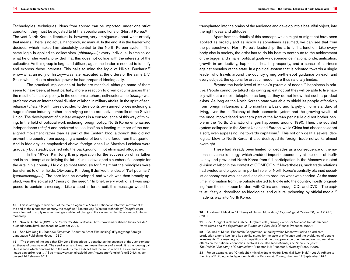Technologies, techniques, ideas from abroad can be imported, under one strict condition: they must be adjusted to fit the specific conditions of (North) Korea.16 The vast North Korean literature is, however, very ambiguous about what exactly that means. There is no actual handbook, no manual. In the end, it is the leader who decides, which makes him absolutely central to the North Korean system. The same logic is applied to collectivism (*chiptanjuŭi*): every individual is free to do what he or she wants, provided that this does not collide with the interests of the collective. As this group is large and diffuse, again the leader is needed to identify and express these interests. This calls to mind the logic of Nikolai Bucharin,17 who—what an irony of history—was later executed at the orders of the same J.V. Stalin whose rise to absolute power he had prepared ideologically.

The practical implications of Juche are manifold, although some of them seem to have been, at least partially, more a reaction to given circumstances than the result of an active policy. In the economic sphere, self-sustenance (*charip*) was preferred over an international division of labor. In military affairs, in the spirit of selfreliance (*chawi*) North Korea decided to develop its own armed forces including a huge defence industry, rather than relying on the protective umbrella of the Soviet Union. The development of nuclear weapons is a consequence of this way of thinking. In the field of political work including foreign policy, North Korea emphasized independence (*chaju*) and preferred to see itself as a leading member of the nonaligned movement rather than as part of the Eastern bloc, although this did not prevent the country from accepting a number of benefits offered from that quarter. And in ideology, as emphasized above, foreign ideas like Marxism-Leninism were gradually but steadily pushed into the background, if not eliminated altogether.

In the 1970s, Kim Jong Il, in preparation for the succession of his father and in an attempt at solidifying the latter's rule, developed a number of concepts for the arts in his country. He did so most famously for films,<sup>18</sup> but the principles were transferred to other fields. Obviously, Kim Jong Il disliked the idea of "l'art pour l'art" (*yesulchisangjuŭi*). The core idea he developed, and which was then broadly applied, was the so-called "theory of the seed".19 In brief, every work of art was supposed to contain a message. Like a seed in fertile soil, this message would be

**16** This is strongly reminiscent of the main slogan of a Korean nationalist reformist movement at the end of the nineteenth century, the *tonghak*. "Eastern way, Western technology" (*tongdo sŏgi*) was intended to apply new technologies while not changing the system, at that time a neo-Confucian monarchy.

**17** Nikolai Bucharin (1921), *Die Partei der Arbeiterklasse*, http://www.marxistische-bibliothek.de/ bucharinpartei.html, accessed 12 October 2004.

**18** See Kim Jong Il, *Ueber die Filmkunst* (About the art of film-making) (P'yŏngyang: Foreign Languages Publishing House, 1989).

**19** "The theory of the seed that Kim Jong Il describes ... constitutes the essence of the Juche-oriented theory of creative work. The seed in art and literature means the core of a work; it is the ideological life-essence which contains both the writer's main subject and the soil in which the elements of the image can strike root ... ." See http://www.uriminzokkiri.com/newspaper/english/bio/B2-4.htm, accessed 14 February 2011.

transplanted into the brains of the audience and develop into a beautiful object, into the right ideas and attitudes.

Apart from the details of this concept, which might or might not have been applied as broadly and as rigidly as sometimes assumed, we can see that from the perspective of North Korea's leadership, the arts fulfil a function. Like everybody else in society, the artist has to do his best to contribute to the achievement of the bigger and smaller political goals––independence, national pride, unification, growth in productivity, happiness, health, prosperity, and a sense of alertness against enemies of the state. In a political system that is oriented towards a single leader who travels around the country giving on-the-spot guidance on each and every subject, the options for artistic freedom are thus naturally limited.

Beyond the basic level of Maslov's pyramid of needs,<sup>20</sup> happiness is relative. People cannot be talked into giving up eating; but they will be able to live happily without a mobile telephone as long as they do not know that such a product exists. As long as the North Korean state was able to shield its people effectively from foreign influences and to maintain a basic and largely uniform standard of living, even the inefficiency of their economic system and the growing wealth of the once-impoverished southern part of the Korean peninsula did not bother people in the North. Dramatic changes happened around 1990. Then, the socialist system collapsed in the Soviet Union and Europe, while China had chosen to adopt a soft, even appeasing line towards capitalism.<sup>21</sup> This not only dealt a severe ideological blow to North Korea; it also destroyed its foreign trade networks almost overnight.

These had already been limited for decades as a consequence of the nationalist Juche ideology, which avoided import dependency at the cost of inefficiency and prevented North Korea from full participation in the Moscow-directed division of labor in the context of COMECON.22 Nevertheless, such trade relations had existed and played an important role for North Korea's centrally planned socialist economy that was less and less able to produce what was needed. At the same time, information from the outside started to trickle into the country, mostly originating from the semi-open borders with China and through CDs and DVDs. The capitalist lifestyle, described as ideological and cultural poisoning by official media,<sup>23</sup> made its way into North Korea.

**20** Abraham H. Maslow, "A theory of human motivation," *Psychological Review* 50, no. 4 (1943): 370–96.

**21** See Rudiger Frank and Sabine Burghart, eds., *Driving Forces of Socialist Transformation: North Korea and the Experience of Europe and East Asia* (Vienna: Praesens, 2009).

**22** Council of Mutual Economic Cooperation; a tool by which Moscow tried to co-ordinate production among itself and its satellite states for the sake of efficiency and the avoidance of double investments. The resulting lack of competition and the disappearance of entire sectors had negative effects on the national economies involved. See also Janos Kornai, *The socialist system: The political economy of communism* (Princeton NJ: Princeton University Press, 1992).

23 For an example, see "Charipchŏk minjokkyŏngje kŏsŏrŭl kkŭt'kkaji kyŏnjihaja" (Let Us Adhere to the line of building an independent national economy), *Rodong Sinmun*, 17 September 1998.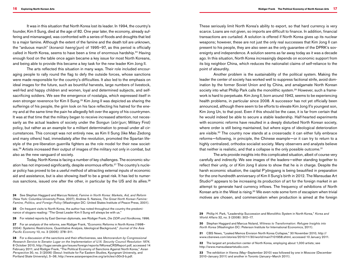It was in this situation that North Korea lost its leader. In 1994, the country's founder, Kim Il Sung, died at the age of 82. One year later, the economy, already suffering and mismanaged, was confronted with a series of floods and droughts that led to a major famine. Although the extent of the famine and the death toll are unknown, the "arduous march" (*konanŭi haeng'gun*) of 1995–97, as this period is officially called in North Korea, seems to have been a time of enormous hardship.24 Having enough food on the table once again became a key issue for most North Koreans, and being able to provide this became a key task for the new leader Kim Jong Il.

The arts reflected this situation in many ways. Their role included encouraging people to rally round the flag to defy the outside forces, whose sanctions were made responsible for the country's difficulties. It also led to the emphasis on ideal images for the future, such as bountiful harvests, large numbers of livestock, well-fed and happy children and women, loyal and determined subjects, and selfsacrificing soldiers. We see the emergence of nostalgia, which expressed itself in even stronger reverence for Kim Il Sung.<sup>25</sup> Kim Jong Il was depicted as sharing the sufferings of his people, the grim look on his face reflecting his hatred for the enemy and at the same time the pain he allegedly felt over the agony of his countrymen. It was at that time that the military began to receive increased attention, not necessarily as the actual leaders of society under the Songun (*sŏn'gun*; Military First) policy, but rather as an example for a militant determination to prevail under all circumstances. This concept was not entirely new, as Kim Il Sung (like Mao Zedong and many others) had, immediately after the revolution, promoted the Spartan lifestyle of the pre-liberation guerrilla fighters as the role model for their new societies.26 Artists increased their output of images of the military not only in combat, but also as the new vanguard of society.

Today, North Korea is facing a number of key challenges. The economic situation has not improved significantly, despite enormous efforts.27 The country's nuclear policy has proved to be a useful method of attracting external inputs of economic aid and assistance, but is also showing itself to be a great risk. It has led to numerous sanctions, issued one after the other, in particular by the US and its allies.28

24 See Stephan Haggard and Marcus Noland, *Famine in North Korea: Markets, Aid, and Reform* (New York: Columbia University Press, 2007); Andrew S. Natsios, *The great North Korean famine: Famine, politics, and foreign policy* (Washington DC: United States Institute of Peace Press, 2001).

**25** On frequent visits to North Korea, the author has noted throughout the country the predominance of slogans reading: "The Great Leader Kim Il Sung will always be with us."

**26** For related reports by East German diplomats, see Rüdiger Frank, *Die DDR und Nordkorea*, 1996.

27 For an analysis of the reforms, see Rüdiger Frank, "Economic Reforms in North Korea (1998– 2004): Systemic Restrictions, Quantitative Analysis, Ideological Background," *Journal of the Asia Pacific Economy* 10, no. 3 (2005): 278–311.

**28** For a discussion of the sanctions and their effectiveness, see *Memorandum by Congressional Research Service to Senator Lugar on the Implementation of U.N. Security Council Resolution 1874*, 8 October 2010, http://lugar.senate.gov/issues/foreign/reports/NKoreaCRSReport.pdf, accessed 14 February 2011; and Rüdiger Frank, "The Political Economy of Sanctions against North Korea," *Asian Perspective* 30, no. 3 (2006) (Seoul: Institute for Far Eastern Studies, Kyungnam University, and Portland State University), 5–36; http://www.asianperspective.org/articles/v30n3-b.pdf.

These seriously limit North Korea's ability to export, so that hard currency is very scarce. Loans are not given, so imports are difficult to finance. In addition, financial transactions are curtailed. A solution is offered if North Korea gives up its nuclear weapons; however, these are not just the only real successes that Kim Jong Il can present to his people, they are also seen as the only guarantee of the DPRK's sovereignty and independence. A solution seems as far away today as it was a decade ago. In this situation, North Korea increasingly depends on economic support from its big neighbor China, which reduces the nationalist claims of self-reliance to the point of absurdity.

Another problem is the sustainability of the political system. Making the leader the center of society has worked well to suppress factional strife, avoid domination by the former Soviet Union and by China, and amalgamate North Korean society into what Phillip Park calls the monolithic system.<sup>29</sup> However, such a framework is hard to perpetuate. Kim Jong Il, born around 1942, seems to be experiencing health problems, in particular since 2008. A successor has not yet officially been announced, although there seem to be efforts to elevate Kim Jong Il's youngest son, Kim Jong Un, to that post. Even if this should be the case, it is far from certain that he would indeed be able to secure a stable leadership. Half-hearted experiments with economic reforms have resulted in a deeply disturbed North Korean society, where order is still being maintained, but where signs of ideological deterioration are visible.<sup>30</sup> The country now stands at a crossroads: it can either fully embrace reforms––following, in principle, the Chinese example––or it can try to return to a highly centralized, orthodox socialist society. Many observers and analysts believe that neither is realistic, and that a collapse is the only possible outcome.<sup>31</sup>

The arts provide insights into this complicated situation, albeit of course very carefully and indirectly. We see images of the leaders––either standing together to reflect their unity, or of Kim Jong Il alone to show that he is in charge. Despite the harsh economic situation, the capital P'yŏngyang is being beautified in preparation for the one-hundredth anniversary of Kim Il Sung's birth in 2012. The Mansudae Art Studio<sup>32</sup> appears to be increasing its production of art for the foreign market in an attempt to generate hard currency inflows. The frequency of exhibitions of North Korean arts in the West is rising.<sup>33</sup> We even note some form of escapism when trivial motives are chosen, and commercialism when production is aimed at the foreign

**29** Phillip H. Park, "Leadership Succession and Monolithic system in North Korea," *Korea and World Affairs* 32, no. 3 (2008): 302–17.

**30** Stephan Haggard and Marcus Noland, *Witness to Transformation: Refugee Insights into North Korea* (Washington DC: Peterson Institute for International Economics, 2011).

**31** CBS News, "Leaked memos envision North Korea collapse," 30 November 2010, http:// www.cbsnews.com/stories/2010/11/30/world/main7101958.shtml, accessed 10 January 2011.

**32** The largest art production center of North Korea, employing about 1,000 artists; see http://www.mansudaeartstudio.com.

**33** The exhibition in Vienna (May–September 2010) was followed by one in Moscow (December 2010–January 2011) and another in Toronto (January–March 2011).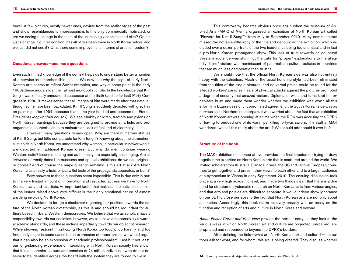buyer. A few pictures, mostly newer ones, deviate from the realist styles of the past and show resemblances to impressionism. Is this only commercially motivated, or are we seeing a change in the taste of the increasingly sophisticated elite? Or is it just a change in our recognition: has all of this been there in North Korea before, and we just did not see it? Or is there some improvement in terms of artistic freedom?

#### **Questions, answers—–and more questions**

Even such limited knowledge of the context helps us to understand better a number of otherwise incomprehensible issues. We now see why the style of early North Korean arts seems to reflect Soviet examples, and why at some point in the early 1960s these models lost their almost monopolistic role. In the knowledge that Kim Jong II was officially announced successor at the Sixth (and so far last) Party Congress in 1980, it makes sense that all images of him were made after that date, although some have been backdated. Kim Il Sung is suddenly depicted with grey hair on paintings after 1994, because that is the year he died and became the Eternal President (*yŏngwŏnhan chusŏk*). We see chubby children, tractors and pylons on North Korean paintings because they are designed to provide an artistic and propagandistic counterbalance to malnutrition, lack of fuel and of electricity.

However, many questions remain open. Why are there numerous statues of Kim Il Sung, but little comparable for Kim Jong Il? Knowing about the ultranationalist spirit in North Korea, we understand why women, in particular in newer works, are depicted in traditional Korean dress. But why do men continue wearing Western suits? Issues of dating and authenticity are especially challenging. Are all artworks correctly dated? In museums and special exhibitions, do we see originals or copies? And of course the major question remains: is this art at all? Are North Korean artists really artists, or just wilful tools of the propaganda apparatus, or both?

Easy answers to these questions seem impossible. This is due only in part to the very limited amount of information and restricted access we have to North Korea, its art, and its artists. An important factor that makes an objective discussion of the issues raised above very difficult is the highly emotional nature of almost anything involving North Korea.

We decided to forego a disclaimer regarding our position towards the nature of the North Korean dictatorship, as this is and should be redundant for authors based in liberal Western democracies. We believe that we as scholars have a responsibility towards our societies; however, we also have a responsibility towards academic standards, and these include impartiality towards our object of research. While showing restraint in criticizing North Korea too loudly, too harshly and too frequently might in some cases be an expression of opportunism, we would argue that it can also be an expression of academic professionalism. Last but not least, our long-standing experience of interacting with North Korean society has shown that it is as complex as ours and consists of 24 million individuals who do not deserve to be identified across-the-board with the system they are forced to live in.

This controversy became obvious once again when the Museum of Applied Arts (MAK) of Vienna organized an exhibition of North Korean art called "Flowers for Kim Il Sung"34 from May to September 2010. Many commentators missed the not-so-subtle irony of the title and denounced the exhibition, which included over a dozen portraits of the two leaders, as being too uncritical and in fact a pro-North Korean propaganda show. This lack of trust towards an educated Western audience was stunning; the calls for "proper" explanations to the allegedly "blind" visitors was reminiscent of paternalistic cultural policies in countries that are much less democratic than Austria.

We should note that the official North Korean side was also not entirely happy with the exhibition. Much of the usual honorific style had been eliminated from the titles of the single pictures, and no verbal praise could be found for the alleged workers' paradise. Fears of physical attacks against the pictures prompted a degree of security that amazed visitors. Diplomatic twists and turns kept the organizers busy, and made them wonder whether the exhibition was worth all this effort. In a bizarre case of uncoordinated agreement, the South Korean side was as nervous as its Northern counterpart. It was worried about the fact that an exhibition of North Korean art was opening at a time when the ROK was accusing the DPRK of having torpedoed one of its warships, killing forty-six sailors. The staff at MAK wondered: was all this really about the arts? We should add: could it ever be?

#### **Structure of the book**

The MAK exhibition mentioned above provided the final impetus for trying to draw together the expertise on North Korean arts that is scattered around the world. We invited scholars from Australia, Canada, Korea, the US and various European countries to get together and present their views to each other and to a larger audience at a symposium in Vienna in early September 2010. The ensuing discussion took place at a very high academic level, and made two things clear: that there is a dire need for structured, systematic research on North Korean arts from various angles, and that arts and politics are difficult to separate. It would indeed show ignorance on our part to close our eyes to the fact that North Korean arts are not only about aesthetics. Accordingly, this book starts relatively broadly with an essay on the function and reception of arts and culture in North Korea and beyond.

*Aidan Foster-Carter and Kate Hext* provide the perfect entry, as they look at the various ways in which North Korean art and culture are projected, perceived, appropriated and responded to beyond the DPRK's borders.

After defining the field––what are North Korean art and culture?––the authors ask for what, and for whom, this art is being created. They discuss whether

**34** See http://www.mak.at/jetzt/ausstellungen/blumen\_kimIlSung.html.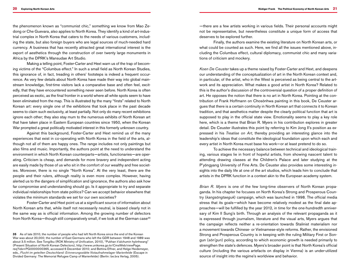the phenomenon known as "communist chic," something we know from Mao Zedong or Che Guevara, also applies to North Korea. They identify a kind of art-industrial complex in North Korea that caters to the needs of various customers, including the state, but also foreign buyers who are legal sources of much-needed hard currency. A business that has recently attracted great international interest is the export of aesthetics through the construction of over twenty large monuments in Africa by the DPRK's Mansudae Art Studio.

Making a telling point, Foster-Carter and Hext warn us of the trap of becoming victims of the "Columbus effect." In such a small field as North Korean Studies, this ignorance of, in fact, treading in others' footsteps is indeed a frequent occurrence. As very few details about North Korea have made their way into global mainstream knowledge, first-time visitors lack a comparative base and often feel, excitedly, that they have encountered something never seen before. North Korea is often perceived as exotic, as the final frontier in a world where all white spots seem to have been eliminated from the map. This is illustrated by the many "firsts" related to North Korean art: every single one of the exhibitions that took place in the past decade seems to claim such exclusivity, at least partially. Not only do many recent exhibitions ignore each other; they also stay mum to the numerous exhibits of North Korean art that have taken place in Eastern European countries since 1950, when the Korean War prompted a great politically motivated interest in this formerly unknown country.

Against this background, Foster-Carter and Hext remind us of the many experiences that exist in co-operating with North Korea in the field of the arts, although not all of them are happy ones. The range includes not only paintings but also films and music. Importantly, the authors point at the need to understand the environment in which North Korean counterparts––artists, functionaries––are operating. Criticism is cheap, and demands for more bravery and independent acting are easily made by those of us who sit in the comfort of our wealthy and free societies. Moreover, there is no single "North Korea". At the very least, there are the people and their rulers, although reality is even more complex. However, having alerted us to the dangers of simplification and ignorance, the authors also ask how far compromise and understanding should go. Is it appropriate to try and separate individual relationships from state politics? Can we accept behavior elsewhere that violates the minimum standards we set for our own societies?

Foster-Carter and Hext point us at a significant source of information about North Korean arts that, while itself not necessarily neutral, is biased clearly not in the same way as is official information. Among the growing number of defectors from North Korea--though still comparatively small, if we look at the German case<sup>35</sup> ––there are a few artists working in various fields. Their personal accounts might not be representative, but nevertheless constitute a unique form of access that deserves to be explored further.

Finally, the authors examine the existing literature on North Korean arts, or what could be counted as such. Here, we find all the issues mentioned above, including the Columbus effect, cultural diplomacy, communist chic and many variations of criticism and mockery.

*Koen De Ceuster* takes up a theme raised by Foster-Carter and Hext, and deepens our understanding of the conceptualization of art in the North Korean context and, in particular, of the artist, who in the West is perceived as being central to the artwork and its appreciation. What makes a good artist in North Korea? Related to this is the author's discussion of the controversial question of a proper definition of art. He opposes the notion that there is no art in North Korea. Pointing at the contribution of Frank Hoffmann on Chosŏnhwa painting in this book, De Ceuster argues that there is a certain continuity in North Korean art that connects it to Korean tradition, and that aesthetics matter despite the clearly political function that art is supposed to play in the official state view. Emotionality seems to play a key role here, which is a theme that Brian R. Myers in his contribution explores in greater detail. De Ceuster illustrates this point by referring to Kim Jong Il's position as expressed in his *Treatise on Art,* thereby providing an interesting glance into the leadership's ideas that constitute the ideological foundation upon which each and every artist in North Korea must base his work––or at least pretend to do so.

To achieve the necessary balance between technical and ideological training, various stages lie in front of hopeful artists, from showing nascent talent to attending drawing classes at the Children's Palace and later studying at the P'yŏngyang University of Fine Arts. De Ceuster also provides some interesting insights into the daily life at one of the art studios, which leads him to conclude that artists in the DPRK function in a context akin to the European academy system.

*Brian R. Myers* is one of the few long-time observers of North Korean propaganda. In his chapter he focuses on North Korea's Strong and Prosperous Country (*kangsŏngtaeguk*) campaign, which was launched in 1998. The official media stress that its goals––which have become relatively modest as the final date approaches––will be fulfilled by the year 2012, in time for the one-hundredth anniversary of Kim Il Sung's birth. Through an analysis of the relevant propaganda as it is expressed through journalism, literature and the visual arts, Myers argues that the campaign reflects neither a re-orientation towards Stalinist materialism nor a movement towards Chinese- or Vietnamese-style reforms. Rather, the envisioned Strong and Prosperous Country is in keeping with the ruling Military First or Songun (*sŏn'gun*) policy, according to which economic growth is needed primarily to strengthen the state's defences. Myers's broader point is that North Korea's official culture (including the various artefacts on display in Vienna) is an under-utilized source of insight into the regime's worldview and behavior.

**<sup>35</sup>** As of late 2010, the number of people who had left North Korea since the end of the Korean War was about 20,000; the number of East Germans who left the GDR between 1948 and 1989 was about 3.5 million. See Tongilbu (ROK Ministry of Unification, 2010), "Pukhan it'alchumin hyŏnhwang" (Present Situation of North Korean Defectors), http://www.unikorea.go.kr/CmsWeb/viewPage. req?idx=PG0000000365, accessed 6 December 2010; and Bettina Effner, and Helge Heidemeyer, eds., *Flucht im geteilten Deutschland: Erinnerungsstätte Notaufnahmelager Marienfelde* (Escape in Divided Germany: The Memorial Refugee Camp of Marienfelde) (Berlin: be.bra Verlag, 2005).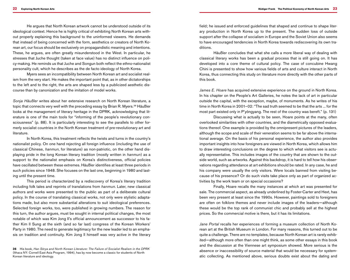He argues that North Korean artwork cannot be understood outside of its ideological context. Hence he is highly critical of exhibiting North Korean arts without properly explaining this background to the uninformed viewers. He demands that instead of being concerned with the form, aesthetics or creators of North Korean art, our focus should be exclusively on propagandistic meaning and intentions. These, he argues, are often greatly misunderstood in the West. In particular, he stresses that Juche thought (taken at face value) has no distinct influence on policy-making. He reminds us that Juche and Songun both reflect the ethno-nationalist personality cult, which he describes as the de facto ideology of North Korea.

Myers sees an incompatibility between North Korean art and socialist realism from the very start. He makes the important point that, as in other dictatorships to the left and to the right, the arts are shaped less by a publicized aesthetic discourse than by canonization and the imitation of model works.

*Sonja Häußler* writes about her extensive research on North Korean literature, a topic that connects very well with the preceding essay by Brian R. Myers.<sup>36</sup> Häußler looks at the management of literary heritage in the DPRK, acknowledging that literature is one of the main tools for "informing of the people's revolutionary consciousness" (p. 88). It is particularly interesting to see the parallels to other formerly socialist countries in the North Korean treatment of pre-revolutionary art and literature.

In North Korea, this treatment reflects the twists and turns in the country's nationalist policy. On one hand rejecting all foreign influence (including the use of classical Chinese, *hanmun*, for literature) as non-patriotic, on the other hand displaying pride in the long Korean literary tradition (mostly written in *hanmun*) as a support to the nationalist emphasis on Korea's distinctiveness, official policies have oscillated between these extremes. Häußler identifies at least three periods in such policies since 1948. She focuses on the last one, beginning in 1980 and lasting until the present time.

This period is characterized by a rediscovery of Korea's literary tradition including folk tales and reprints of translations from *hanmun*. Later, new classical authors and works were presented to the public as part of a deliberate cultural policy. In the course of translating classical works, not only were stylistic adaptations made, but also more substantial alterations to suit ideological preferences. Selected foreign works, too, were published in growing numbers. The reason for this turn, the author argues, must be sought in internal political changes, the most notable of which was Kim Jong Il's official announcement as successor to his father Kim Il Sung at the sixth (and so far last) congress of the Korean Workers' Party in 1980. The need to generate legitimacy for the new leader led to an emphasis on tradition and continuity. Kim Jong Il himself was very active in the literary

field; he issued and enforced guidelines that shaped and continue to shape literary production in North Korea up to the present. The sudden loss of outside support after the collapse of socialism in Europe and the Soviet Union also seems to have encouraged tendencies in North Korea towards rediscovering its own traditions.

Häußler concludes that what she calls a more liberal way of dealing with classical literary works has been a gradual process that is still going on. It has developed into a core theme of cultural policy. The case of concubine Hwang Chini is presented to show how various fields of arts and culture interact in North Korea, thus connecting this study on literature more directly with the other parts of this book.

*James E. Hoare* has acquired extensive experience on the ground in North Korea. In his chapter on the People's Art Galleries, he notes the lack of art in particular outside the capital, with the exception, maybe, of monuments. As he writes of his time in North Korea in 2001–02: "The sad truth seemed to be that the arts ... for the most part existed only in P'yŏngyang. The rest of the country was bereft." (p. 131)

Discussing what is actually to be seen, Hoare points at the many, often overlooked similarities with other countries, and the diametrically opposed evaluations thereof. One example is provided by the omnipresent pictures of the leaders, although the scope and scale of their veneration seems to be far above the international average. On the basis of his personal experience, the author also provides important insights into how foreigners are viewed in North Korea, which allows him to draw interesting conclusions on the degree to which what visitors see is actually representative. This includes images of the country that are shown to the outside world, such as artworks. Against this backdrop, it is hard to tell how his observations regarding attendance at art exhibitions should be rated. In any case, he and his company were usually the only visitors. Were locals banned from visiting because of his presence? Or do such visits take place only as part of organized activities by the work team or on special occasions?

Finally, Hoare recalls the many instances at which art was presented for sale. The commercial aspect, as already underlined by Foster-Carter and Hext, has been very present at least since the 1990s. However, paintings sold to foreigners are often on folklore themes and never include images of the leaders––although these would be the top rank of communist chic and probably sell at the highest prices. So the commercial motive is there, but it has its limitations.

*Jane Portal* recalls her experiences of forming a museum collection of North Korean art at the British Museum in London. For many reasons, this turned out to be quite a challenge. There are no templates, because North Korean art is rarely exhibited––although more often than one might think, as some other essays in this book and the discussion at the Viennese art symposium showed. More serious is the absence or inaccessibility of source material that would be necessary for systematic collecting. As mentioned above, serious doubts exist about the dating and

**<sup>36</sup>** His book, *Han Sŏrya and North Korean literature: The failure of socialist realism in the DPRK* (Ithaca NY: Cornell East Asia Program, 1994), has by now become a classic for students of North Korean literature and ideology.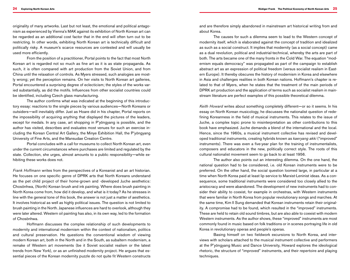originality of many artworks. Last but not least, the emotional and political antagonism as experienced by Vienna's MAK against its exhibition of North Korean art can be regarded as an additional cost factor that in the end will often turn out to be restricting. In other words, exhibiting North Korean art is technically difficult and politically risky. A museum's scarce resources are contested and will usually be used more efficiently.

From the position of a practitioner, Portal points to the fact that most North Korean art is regarded not so much as fine art as it is as state propaganda. As such, it is often compared with art production from the Soviet Union, and from China until the relaxation of controls. As Myers stressed, such analogies are mostly wrong; yet the perception remains. On her visits to North Korean art galleries, Portal encountered a surprising degree of eclecticism; the styles of the works varied substantially, as did the motifs. Influences from other socialist countries could be identified, including Czech glass manufacturing.

The author confirms what was indicated at the beginning of this introductory essay: reactions to the single pieces by various audiences––North Koreans or outsiders––will inevitably differ. Just as Hoare did in his chapter, Portal reports on the impossibility of acquiring anything that displayed the pictures of the leaders, except for medals. In any case, art shopping in P'yŏngyang is possible, and the author has visited, describes and evaluates most venues for such an exercise including the Korean Central Art Gallery, the Minye Exhibition Hall, the P'yŏngyang University of Fine Arts, and the Mansudae Creation Centre.

Portal concludes with a call for museums to collect North Korean art, even under the current circumstances where purchases are limited and regulated by the state. Collection, she urges, almost amounts to a public responsibility––while exhibiting these works does not.

*Frank Hoffmann* writes from the perspectives of a Koreanist and an art historian. He focuses on one specific genre of DPRK arts that North Koreans understand as the pet child project of their home-grown and -developed Juche aesthetics: Chosŏnhwa, (North) Korean brush and ink painting. Where does brush painting in North Korea come from, how did it develop, and what is it today? As he stresses in line with the general tone of this book, the answer is not just a matter of aesthetics. It involves historical as well as highly political issues. The question is not limited to brush painting in the North. Japanese influences are hard to overlook, although they were later altered. Western oil painting has also, in its own way, led to the formation of Chosŏnhwa.

Hoffmann discusses the complex relationship of such developments to modernity and international modernism within the context of nationalism, politics and cultural preservation. He questions the conventional wisdom of viewing modern Korean art, both in the North and in the South, as subaltern modernism, a remake of Western art movements (be it Soviet socialist realism or the latest trends from New York), or as an unfinished modernity project. He argues that essential pieces of the Korean modernity puzzle do not quite fit Western constructs and are therefore simply abandoned in mainstream art historical writing from and about Korea.

The causes for such a dilemma seem to lead to the Western concept of modernity itself, which is elaborated against the concept of tradition and idealized as such as a social construct. It implies that modernity (as a social concept) came as a dual revolution, political and industrial-technical, whereby the arts are part of both. The arts became one of the many fronts in the Cold War. The equation "modernism equals democracy" was propagated as part of the campaign to establish abstract art as an expression of political freedom (versus socialist realism in Eastern Europe). It thereby obscures the history of modernism in Korea and elsewhere in Asia and challenges realities in both Korean nations. Hoffmann's chapter is related to that of Myers, when he states that the treatment of the main periods of DPRK art production and the application of terms such as socialist realism in mainstream literature are perfect examples of this possible theoretical dilemma.

Keith Howard writes about something completely different-or so it seems. In his essay on North Korean musicology, he discusses the nationalist question of redefining Koreanness in the field of musical instruments. This relates to the issue of Juche, a complex topic prone to misinterpretation as other contributions to this book have emphasized. Juche demands a blend of the international and the local. Hence, since the 1960s, a musical instrument collective has revised and developed traditional instruments, creating hybrids known as *kaeryang akki* ("improved" instruments). There was even a five-year plan for the training of instrumentalists, composers and educators in the new, politically correct style. The roots of this cultural nationalist movement seem to go back to at least 1956.

The author also points out an interesting dilemma. On the one hand, the national question had to be considered, i.e. old Korean instruments were to be preferred. On the other hand, the social question loomed large, in particular at a time when North Korea paid at least lip service to Marxist-Leninist ideas. As a consequence, some traditional instruments were considered too closely allied to the aristocracy and were abandoned. The development of new instruments had to consider their ability to coexist, for example in orchestras, with Western instruments that were familiar in North Korea from popular revolutionary songs and marches. At the same time, Kim Il Sung demanded that Korean instruments retain their originality. A compromise had to be found, which resulted in the "improved" instruments. These are held to retain old sound timbres, but are also able to coexist with modern Western instruments. As the author shows, these "improved" instruments are most commonly found in music based on folk traditions or in scenes portraying life in old Korea in revolutionary operas and people's operas.

Basing himself on two fieldwork excursions to North Korea, and interviews with scholars attached to the musical instrument collective and performers at the P'yŏngyang Music and Dance University, Howard explores the ideological rhetoric, the structure of "improved" instruments, and their repertoire and playing techniques.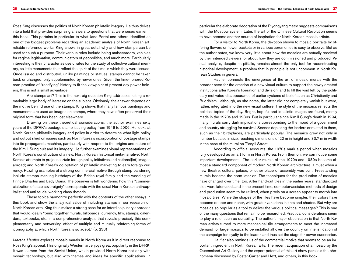*Ross King* discusses the politics of North Korean philatelic imagery. He thus delves into a field that provides surprising answers to questions that were raised earlier in this book. This pertains in particular to what Jane Portal and others identified as one of the biggest problems regarding an academic analysis of North Korean art: reliable reference works. King shows in great detail why and how stamps can be used for such a purpose. Their various roles include being ambassadors, vehicles for regime legitimation, communicators of geopolitics, and much more. Particularly interesting is their character as useful sites for the study of collective cultural memory, as little monuments that reflect the spirit of the time in which they were issued. Once issued and distributed, unlike paintings or statues, stamps cannot be taken back or changed, only supplemented by newer ones. Given the time-honored Korean practice of "rectifying" history to fit the viewpoint of present-day power holders, this is not a small advantage.

Are stamps art? This is the next big question King addresses, citing a remarkably large body of literature on the subject. Obviously, the answer depends on the motive behind use of the stamps. King shows that many famous paintings and monuments are used as images on stamps, where they have often preserved their original form that has been lost elsewhere.

Drawing on these theoretical considerations, the author examines sixty years of the DPRK's postage stamp issuing policy from 1946 to 2006. He looks at North Korean philatelic imagery and policy in order to determine what light policy and output shed on issues such as North Korea's incorporation of postage stamps into its propaganda machine, particularly with respect to the origins and nature of the Kim Il Sung cult and its imagery. He further examines visual representations of North Korea's construction of a new, North Korean historical meta-narrative; North Korea's attempts to project certain foreign policy initiatives and national[ist] images abroad; and North Korea's co-optation of philatelic marketing to earn foreign currency. Puzzling examples of a strong commercial motive through stamp pandering include stamps marking birthdays of the British royal family and the wedding of Prince Charles and Lady Diana. The observer is left wondering how this "commercialization of state sovereignty" corresponds with the usual North Korean anti-capitalist and anti-feudal working-class rhetoric.

These topics harmonize perfectly with the contents of the other essays in this book and show the analytical value of including stamps in our research on North Korean arts. King thus makes a strong case for an interdisciplinary approach that would ideally "bring together murals, billboards, currency, film, stamps, calendars, textbooks, etc. in a comprehensive analysis that reveals precisely this complementarity and networking effect of multiple and mutually reinforcing forms of iconography at which North Korea is so adept." (p. 238)

*Marsha Haufler* explores mosaic murals in North Korea as if in direct response to Ross King's appeal. This originally Western art enjoys great popularity in the DPRK. It was learned from the Soviet Union, which provided North Korea not only with mosaic technology, but also with themes and ideas for specific applications. In particular the elaborate decoration of the P'yŏngyang metro suggests comparisons with the Moscow system. Later, the art of the Chinese Cultural Revolution seems to have become another source of inspiration for North Korean mosaic artists.

For a visitor to North Korea, the devotion shown to mosaic portraits by offering flowers or flower baskets or in various ceremonies is easy to observe. But as the author notes, we know very little about how the mosaics are actually received by their intended viewers, or about how they are commissioned and produced. Visual analysis, despite its pitfalls, remains almost the only tool for reconstructing historical development, a problem that in principle is not uncommon in North Korean Studies in general.

Haufler connects the emergence of the art of mosaic murals with the broader need for the creation of a new visual culture to support the newly created institutions after Korea's liberation and division, and to fill the void left by the politically motivated disappearance of earlier systems of belief such as Christianity and Buddhism––although, as she notes, the latter did not completely vanish but were, rather, integrated into the new visual culture. The style of the mosaics reflects the political topics of the day. Bright, hopeful and idealistic images are found, mostly made in the 1970s and 1980s. But in particular since Kim Il Sung's death in 1994, many murals carry dark implications corresponding to the mood of a government and country struggling for survival. Scenes depicting the leaders or related to them, such as their birthplaces, are particularly popular. The mosaics grew not only in number but also in size, reaching dimensions of 22 m in height and 33.7 m in width in the case of the mural on T'ongil Street.

According to official accounts, the 1970s mark a period when mosaics fully developed as an art form in North Korea. From then on, we can notice some important developments. The earlier murals of the 1970s and 1980s became almost a standard component of modern North Korean architecture, a must when a new theatre, cultural palace, or other place of assembly was built. Freestanding murals became the norm later on. The techniques for the production of mosaics have changed over time, too. After hand-cut tiles in the earlier years, standardized tiles were later used, and in the present time, computer-assisted methods of design and production seem to be utilized, when pixels on a screen appear to morph into mosaic tiles. While the shapes of the tiles have become simpler, their colors have become deeper and richer, with greater variations in tints and shades. But why are mosaics so popular as a tool to deliver the various political messages? This is one of the many questions that remain to be researched. Practical considerations seem to play a role, such as durability. The author's major observation is that North Korean artists turned to more mechanical tile arrangements to meet the increased demand for large mosaics to be installed all over the country on intensification of the campaign for loyalty to the leader, and thus set the stage for power succession.

Haufler also reminds us of the commercial motive that seems to be an important ingredient in North Korean arts. The recent acquisition of a mosaic by the Queensland Art Gallery and the export potential of this art show parallels the phenomena discussed by Foster-Carter and Hext, and others, in this book.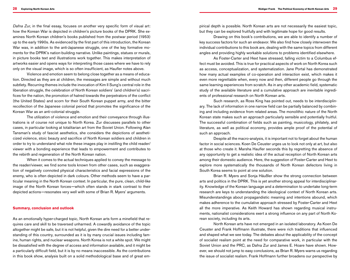*Dafna Zur,* in the final essay, focuses on another very specific form of visual art: how the Korean War is depicted in children's picture books of the DPRK. She examines North Korean children's books published from the postwar period (1953) up to the early 1990s. As evidenced by the first part of this introduction, the Korean War was, in addition to the anti-Japanese struggle, one of the key formative moments for the DPRK's nation-building narrative. Unlike paintings, statues or murals, in picture books text and illustrations work together. This makes interpretation of artworks easier and opens ways for interpreting those cases where we have to rely only on the visual image, which is so often insufficient, as Haufler notes above.

Violence and emotion seem to belong close together as a means of education. Directed as they are at children, the messages are simple and without much subtlety. Recurring themes include the invocation of Kim Il Sung's central role in the liberation struggle, the celebration of North Korean soldiers' (and children's) sacrifices for the nation, the promotion of hatred towards the perpetrators of the conflict (the United States) and scorn for their South Korean puppet army, and the bitter recollection of the Japanese colonial period that promotes the significance of the Korean War as an anti-colonial struggle.

The utilization of violence and emotion and their conveyance through illustrations is of course not unique to North Korea. Zur discusses parallels to other cases, in particular looking at totalitarian art from the Soviet Union. Following Alan Tansman's study of fascist aesthetics, she considers the depictions of aestheticized violence, stoic beauty and sacrifice of North Korean soldiers and children in order to try to understand what role these images play in instilling the child reader/ viewer with a bonding experience that leads to empowerment and contributes to the rebirth and regeneration of the North Korean nation.

When it comes to the actual techniques applied to convey the message to the reader/viewer, we find some tools known from other cases, such as exaggeration of negatively connoted physical characteristics and facial expressions of the enemy, who is often depicted in dark colours. Other methods seem to have a particular meaning in the North Korean context. In particular, the pure, clean, child-like image of the North Korean forces––which often stands in stark contrast to their depicted actions––resonates very well with some of Brian R. Myers' arguments.

#### **Summary, conclusion and outlook**

As an emotionally hyper-charged topic, North Korean arts form a minefield that requires care and skill to be traversed unharmed. A cowardly avoidance of the topic altogether might be safe, but it is not helpful, given the dire need for a better understanding of this country, surrounded as it is by many crucial issues including famine, human rights, and nuclear weapons. North Korea is not a white spot. We might be dissatisfied with the degree of access and information available, and it might be a particularly difficult field, but it is by no means inaccessible. As the contributions in this book show, analysis built on a solid methodological base and of great empirical depth is possible. North Korean arts are not necessarily the easiest topic, but they can be explored fruitfully and with legitimate hope for good results.

Drawing on this book's contributions, we are able to identify a number of key success factors for such an endeavor. We also find how closely interwoven the individual contributions to this book are, dealing with the same topics from different angles and providing highly workable solutions to problems identified elsewhere.

As Foster-Carter and Hext have stressed, falling victim to a Columbus effect must be avoided. This is true for practical aspects of work on North Korea such as access, conceptualization, and systematization. Jane Portal has demonstrated how many actual examples of co-operation and interaction exist, which makes it even more regrettable when, every now and then, different people go through the same learning experiences from scratch. As in any other academic field, systematic study of the available literature and a cumulative approach are inevitable ingredients of professional research on North Korean arts.

Such research, as Ross King has pointed out, needs to be interdisciplinary. The lack of information in one narrow field can be partially balanced by combining and including evidence from related areas. The monolithic nature of the North Korean state makes such an approach particularly sensible and potentially fruitful. The successful combination of fields such as painting, musicology, philately, and literature, as well as political economy, provides ample proof of the potential of such an approach.

Despite all the macro-analysis, it is important not to forget about the human factor in social sciences. Koen De Ceuster urges us to look not only at art, but also at those who create it. Marsha Haufler seconds this by regretting the absence of any opportunity to get a realistic idea of the actual reception of North Korean arts among their domestic audience. Here, the suggestion of Foster-Carter and Hext to explore more systematically the thousands of North Korean defectors living in South Korea seems to point at one solution.

Brian R. Myers and Sonja Häußler show the strong connection between arts and politics in the DPRK. This is yet another strong appeal for interdisciplinarity. Knowledge of the Korean language and a determination to undertake long-term research are keys to understanding the ideological context of North Korean arts. Misunderstandings about propagandistic meaning and intentions abound, which makes adherence to the cumulative approach stressed by Foster-Carter and Hext all the more imperative. As Keith Howard has shown regarding musical instruments, nationalist considerations exert a strong influence on any part of North Korean society, including its arts.

North Korean arts have not emerged in an isolated laboratory. As Koen De Ceuster and Frank Hoffmann illustrate, there were rich traditions that influenced and shaped what we see today. The debates about the applicability of the concept of socialist realism point at the need for comparative work, in particular with the Soviet Union and the PRC, as Dafna Zur and James E. Hoare have shown. However, we should not jump to easy conclusions, as Brian R. Myers warns us regarding the issue of socialist realism. Frank Hoffmann further broadens our perspective by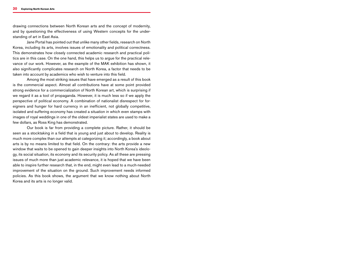drawing connections between North Korean arts and the concept of modernity, and by questioning the effectiveness of using Western concepts for the understanding of art in East Asia.

Jane Portal has pointed out that unlike many other fields, research on North Korea, including its arts, involves issues of emotionality and political correctness. This demonstrates how closely connected academic research and practical politics are in this case. On the one hand, this helps us to argue for the practical relevance of our work. However, as the example of the MAK exhibition has shown, it also significantly complicates research on North Korea, a factor that needs to be taken into account by academics who wish to venture into this field.

Among the most striking issues that have emerged as a result of this book is the commercial aspect. Almost all contributions have at some point provided strong evidence for a commercialization of North Korean art, which is surprising if we regard it as a tool of propaganda. However, it is much less so if we apply the perspective of political economy. A combination of nationalist disrespect for foreigners and hunger for hard currency in an inefficient, not globally competitive, isolated and suffering economy has created a situation in which even stamps with images of royal weddings in one of the oldest imperialist states are used to make a few dollars, as Ross King has demonstrated.

Our book is far from providing a complete picture. Rather, it should be seen as a stocktaking in a field that is young and just about to develop. Reality is much more complex than our attempts at categorizing it; accordingly, a book about arts is by no means limited to that field. On the contrary: the arts provide a new window that waits to be opened to gain deeper insights into North Korea's ideology, its social situation, its economy and its security policy. As all these are pressing issues of much more than just academic relevance, it is hoped that we have been able to inspire further research that, in the end, might even lead to a much-needed improvement of the situation on the ground. Such improvement needs informed policies. As this book shows, the argument that we know nothing about North Korea and its arts is no longer valid.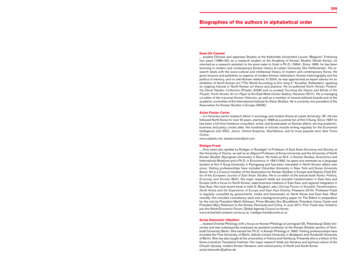### **Biographies of the authors in alphabetical order**

#### **Koen De Ceuster**

... studied Chinese and Japanese Studies at the Katholieke Universiteit Leuven (Belgium). Following four years (1986–90) as a research student at the Academy of Korean Studies (South Korea), he returned as a research assistant to his alma mater to finish a Ph.D. (1994). Since 1995, he has been lecturing in modern and contemporary Korean history at Leiden University (the Netherlands). His re search deals with the socio-cultural and intellectual history of modern and contemporary Korea. He gives lectures and publishes on aspects of modern Korean nationalism, Korean historiography and the politics of memory, and on inter-Korean relations. In 2004, he was approached as expert advisor for an exhibition of North Korean art ("The World According to Kim Jong II," Kunsthal, Rotterdam), sparking an ongoing interest in North Korean art theory and practice. He co-authored *North Korean Posters: the David Heather Collection* (Prestel, 2008) and co-curated *Touching the hearts and minds of the*  People: North Korean Art on Paper at the East-West Center Gallery, Honolulu (2011). He is managing co-editor of the e-journal *Korean Histories*, as well as a member of several editorial boards and of the academic committee of the International Institute for Asian Studies. He is currently vice-president of the Association for Korean Studies in Europe (AKSE).

#### **Aidan Foster-Carter**

... is a honorary senior research fellow in sociology and modern Korea at Leeds University, UK. He has followed North Korea for over 40 years, starting in 1968 as a juvenile fan of Kim Il Sung. Since 1997 he has been a full-time freelance consultant, writer, and broadcaster on Korean affairs, serving academic, business and policy circles alike. His hundreds of articles include writing regularly for the Economist Intelligence Unit (EIU), *Jane's, Oxford Analytica, NewNations,* and (in more populist vein) *Asia Times Online.* 

www.aidanfc.net, afostercarter@aol.com

#### **Rüdiger Frank**

... (first name also spelled as Rudiger or Ruediger) is Professor of East Asian Economy and Society at the University of Vienna, as well as an Adjunct Professor at Korea University and the University of North Korean Studies (Kyungnam University) in Seoul. He holds an M.A. in Korean Studies, Economics and International Relations and a Ph.D. in Economics. In 1991/1992, he spent one semester as a language student at Kim Il Sung University in Pyongyang and has been interested in North Korean affairs ever since. Visiting professorships have included Columbia University in New York and Korea University Seoul. He is a Council member of the Association for Korean Studies in Europe and Deputy Chief Edi tor of the *European Journal of East Asian Studies*. He is co-editor of the annual book *Korea: Politics, Economy and Society* (Brill). His major research fields are socialist transformation in East Asia and Europe (with a focus on North Korea), state-business relations in East Asia, and regional integration in East Asia. His most recent book is (with S. Burghart, eds.) *Driving Forces of Socialist Transformation: North Korea and the Experience of Europe and East Asia* (Vienna: Praesens 2010). Professor Frank is regularly consulted by governments, media and businesses on North Korea and East Asia. Most recently, this included consultancy work and a background policy paper for The Elders in preparation for the visit by President Martti Ahtisaari, Prime Minister Gro Brundtland, President Jimmy Carter and President Mary Robinson to the Korean Peninsula and China. In June 2011, Prof. Frank was invited to join the World Economic Forum, Global Agenda Council on Korea. www.wirtschaft.ostasien.univie.ac.at, ruediger.frank@univie.ac.at

#### **Sonja Haeussler ( Häußler)**

... studied Oriental Philology with a focus on Korean Philology at Leningrad (St. Petersburg) State Uni versity and was subsequently employed as assistant professor at the Korean Studies section of Hum boldt University Berlin. She earned her Ph.D. in Korean Philology in 1993. Visiting professorships have included the Free University of Berlin, Eötvös Lor ánd University in Budapest and Humboldt University of Berlin. She has also taught at the universities of Vienna and Hamburg. Presently she is a fellow of the Korea Literature Translation Institute. Her major research fields are literature and spiritual culture of the Chos ŏn dynasty, modern Korean literature, and cultural policy of North and South Korea. sonja.haeussler@yahoo.de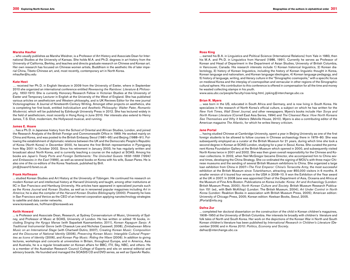#### **Marsha Haufler**

... who usually publishes as Marsha Weidner, is a Professor of Art History and Associate Dean for International Studies at the University of Kansas. She holds M.A. and Ph.D. degrees in art history from the University of California, Berkley, and teaches and directs graduate research on Chinese and Korean art. Her own research has focused on Chinese women artists, Buddhism in the aesthetic life of later imperial China, Tibeto-Chinese art, and, most recently, contemporary art in North Korea. mhaufler@ku.edu

#### **Kate Hext**

… received her Ph.D. in English literature in 2009 from the University of Exeter, where in September 2010 she organized an international conference entitled *Reweaving the Rainbow: Literature & Philosophy, 1850-1910*. She is currently Honorary Research Fellow in Victorian Studies at the University of Exeter and Temporary Lecturer in English at the University of the West of England. She has published various articles on aestheticism and Western philosophy, and is UK Reviews Editor for the new journal Victoriographies: A Journal of Nineteenth-Century Writing. Amongst other projects on aesthetics, she is completing her first book, entitled *Individualism and Aesthetic Philosophy: Walter Pater, Romantic Modernist,* which will be published by Edinburgh University Press in 2012. She has lectured widely in the field of aestheticism, most recently in Hong Kong in June 2010. Her interests also extend to Henry James, T.S. Eliot, modernism, the Hollywood musical, and running.

#### **James E. Hoare**

... has a Ph.D. in Japanese history from the School of Oriental and African Studies, London, and joined the Research Analysts of the British Foreign and Commonwealth Office in 1969. He worked mainly on China and Korea, and was posted to the British Embassy Seoul (1981–95) and Beijing (1988–91). Following the establishment of diplomatic relations between the UK and the Democratic People's Republic of Korea (North Korea) in December 2000, he became the first British representative in Pyongyang from May 2001 to October 2002. Since his retirement in January 2003, he has regularly written and broadcast about North Korea, and is currently teaching a course on the subject at SOAS. Among his books are *Japan's Treaty Ports and Foreign Settlements: The Uninvited Guests 1858–1899 (1994) and Embassies in the East* (1999), as well as several books on Korea with his wife, Susan Pares. He is also one of the co-editors of the Korea Yearbook, published by Brill. jim@jhoare10.fsnet.co.uk

#### **Frank Hoffmann**

... studied Korean Studies and Art History at the University of Tübingen. He continued his research on modern Korean art and intellectual history at Harvard University and taught, among other institutions at IIC in San Francisco and Hamburg University. His articles have appeared in specialized journals such as the *Korea Journal* and *Korean Studies*, as well as in renowned popular magazines including *Art in America*; he is also the compiler of the *Harvard Korean Studies Bibliography* (2000). Presently he lives in San Francisco and Venice as the CEO of an Internet corporation applying nanotechnology strategies to satellite and data center networks.

www.koreaweb.ws, hoffmann@koreaweb.ws

#### **Keith Howard**

... is Professor and Associate Dean, Research, at Sydney Conservatorium of Music, University of Sydney, and Professor of Music at SOAS, University of London. He has written or edited 16 books, including *Singing the Kyrgyz Manas* (with Saparbek Kasmambetov, 2011), *Korean Kayagum Sanjo: A Traditional Instrumental Genre* (with Chaesuk Lee and Nicholas Casswell, 2008), *Zimbabwean Mbira Music on an International Stage* (with Chartwell Dutiro, 2007), *Creating Korean Music: Composition and the Discourse of National Identity* (2006), *Preserving Korean Music: Intangible Cultural Properties as Icons of Identity* (2006), and *Korean Pop Music: Riding the Wave* (2006). In addition to giving lectures, workshops and concerts at universities in Britain, throughout Europe, and in America, Asia and Australia, he is a regular broadcaster on Korean affairs for BBC, ITV, Sky, NBC, and others. He is a member of the Australian Research Council College of Experts and sits on several editorial and advisory boards. He founded and managed the SOASIS CD and DVD series, as well as OpenAir Radio.

#### **Ross King**

... earned his B.A. in Linguistics and Political Science (International Relations) from Yale in 1983, then his M.A. and Ph.D. in Linguistics from Harvard (1986, 1991). Currently he serves as Professor of Korean and Head of Department in the Department of Asian Studies, University of British Columbia, in Vancouver, Canada. His research interests include 1) Korean historical linguistics, 2) Korean dialectology, 3) history of Korean linguistics, including the history of Korean linguistic thought in Korea, Korean language and nationalism, and Korean language ideologies, 4) Korean language pedagogy, and 5) history of language, writing, and literary culture in the "Sinographic cosmopolis," with a specific focus on medieval Korea and the interplay of cosmopolitan and vernacular in other regions of the Sinographic cultural sphere. His contribution to this conference is offered in compensation for all the time and money he wasted collecting stamps in his youth.

www.asia.ubc.ca/people/faculty/ross-king.html, jrpking@interchange.ubc.ca

#### **Brian R. Myers**

... was born in the US, educated in South Africa and Germany, and is now living in South Korea. He specializes in the research of North Korea's official culture, a subject on which he has written for the *New York Times*, *Wall Street Journal*, and other newspapers. Myers's books include *Han Sorya and North Korean Literature* (Cornell East Asia Series, 1994) and *The Cleanest Race: How North Koreans See Themselves and Why It Matters* (Melville House, 2010). Myers is also a contributing editor of the American magazine *The Atlantic,* for which he writes literary criticism.

#### **Jane Portal**

... having studied Chinese at Cambridge University, spent a year in Beijing University as one of the first foreign students to be allowed to follow courses in Chinese archaeology there in 1979–80. She was subsequently employed as a curator at the British Museum for 21 years, during which time she took a second degree in Korean at SOAS London, studying for a year in Seoul, Korea. She curated the permanent Korea Foundation Gallery at the British Museum which opened in 2000, and subsequently visited North Korea twice in 2001 and 2002. She was then given overall responsibility for the Chinese and Korean collections. In 2002, when Neil McGregor became Director, she accompanied him to China several times, developing the China Strategy. She co-ordinated the signing of MOU's with three major Chinese museums and the sending of several British Museum exhibitions to China. She organized a large loan exhibition from China in 2007–*The First Emperor: China's Terracotta Army*, the most successful exhibition at the British Museum since *Tutankhamun,* attracting over 850,000 visitors in 6 months. A smaller version of it toured four venues in the USA in 2008–10. It won the Exhibition of the Year award at the UK in 2007. In 2008 Jane was appointed Chair of the Department of Asia, Oceania and Africa at the Museum of Fine Arts Boston. Publications on Korea include: *Korea: Art and Archaeology* (London: British Museum Press, 2000); *North Korean Culture and Society*. British Museum Research Publication 151 (ed., with Beth McKillop) (London: The British Museum, 2004); *Art Under Control in North Korea* (London: Reaktion Books in association with British Museum Press, 2005); American edition: University of Chicago Press, 2005; Korean edition: Keelsan Books, Seoul, 2005. JPortal@mfa.org

#### **Dafna Zur**

... completed her doctoral dissertation on the construction of the child in Korean children's magazines, 1908–1950 at the University of British Columbia. Her interests lie broadly with children's literature and folk tales of North and South Korea. Her work on the depictions of the Korean War in North and South Korean children's literature has been published by *International Research in Children's Literature* (December 2009) and in *Korea 2010: Politics, Economy and Society*. dafnaz@interchange.ubc.ca